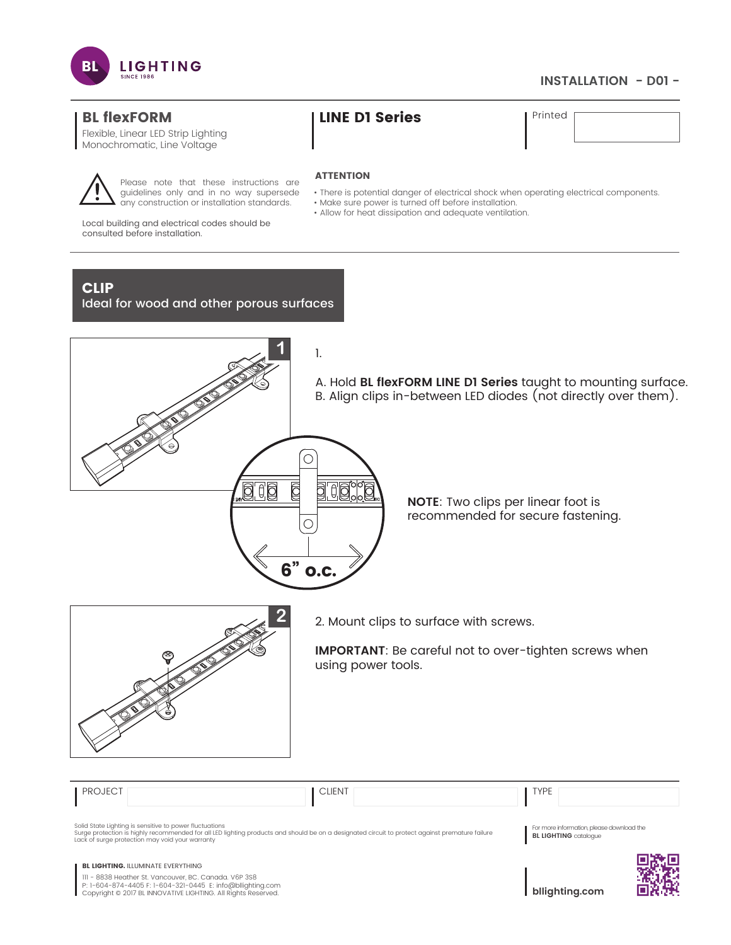

## **INSTALLATION - D01 -**

Flexible, Linear LED Strip Lighting Monochromatic, Line Voltage



Printed

### **ATTENTION**

- There is potential danger of electrical shock when operating electrical components.
- Make sure power is turned off before installation.
- Allow for heat dissipation and adequate ventilation.

Local building and electrical codes should be consulted before installation.

# CLIP

Ideal for wood and other porous surfaces

Please note that these instructions are guidelines only and in no way supersede any construction or installation standards.



A. Hold **BL flexFORM LINE D1 Series** taught to mounting surface. B. Align clips in-between LED diodes (not directly over them).

> **NOTE**: Two clips per linear foot is recommended for secure fastening.



 **2** 2. Mount clips to surface with screws.

**IMPORTANT**: Be careful not to over-tighten screws when using power tools.

| <b>PROJECT</b>                                                                                                                                                                                                                                                | <b>CLIENT</b> | <b>TYPE</b>                                                               |  |
|---------------------------------------------------------------------------------------------------------------------------------------------------------------------------------------------------------------------------------------------------------------|---------------|---------------------------------------------------------------------------|--|
| Solid State Lighting is sensitive to power fluctuations<br>Surge protection is highly recommended for all LED lighting products and should be on a designated circuit to protect against premature failure<br>Lack of surge protection may void your warranty |               | For more information, please download the<br><b>BL LIGHTING</b> catalogue |  |
| <b>BL LIGHTING. ILLUMINATE EVERYTHING</b><br>III - 8838 Heather St. Vancouver, BC. Canada. V6P 3S8<br>P: 1-604-874-4405 F: 1-604-321-0445 E: info@bllighting.com<br>Copyright © 2017 BL INNOVATIVE LIGHTING. All Rights Reserved.                             |               | bllighting.com                                                            |  |